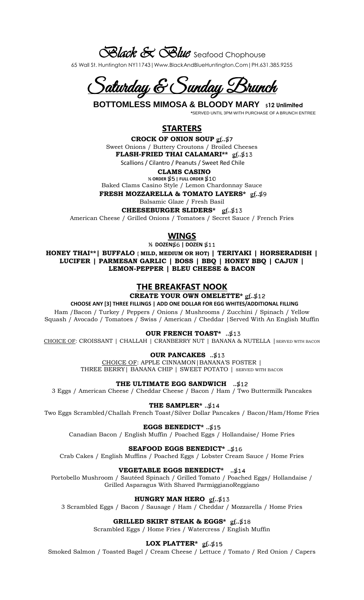*Black & Blue* Seafood Chophouse

65 Wall St. Huntington NY11743|Www.BlackAndBlueHuntington.Com|PH.631.385.9255

<u>Saturday & Sunday Brunch</u>

 **BOTTOMLESS MIMOSA & BLOODY MARY \$12 Unlimited**

 **\***SERVED UNTIL 3PM WITH PURCHASE OF A BRUNCH ENTREE

# **STARTERS**

**CROCK OF ONION SOUP gf..\$7** Sweet Onions / Buttery Croutons / Broiled Cheeses **FLASH-FRIED THAI CALAMARI\*\***  $gf. $13$ Scallions / Cilantro / Peanuts / Sweet Red Chile

## **CLAMS CASINO**

 $\%$  ORDER  $$5$  | FULL ORDER  $$10$ Baked Clams Casino Style / Lemon Chardonnay Sauce **FRESH MOZZARELLA & TOMATO LAYERS\* gf..\$9** 

Balsamic Glaze / Fresh Basil

**CHEESEBURGER SLIDERS\*** *<u>ef</u>.***.\$13** 

American Cheese / Grilled Onions / Tomatoes / Secret Sauce / French Fries

## **WINGS**

**½ DOZEN | DOZEN** 

**HONEY THAI\*\*| BUFFALO { MILD, MEDIUM OR HOT) | TERIYAKI | HORSERADISH | LUCIFER | PARMESAN GARLIC | BOSS | BBQ | HONEY BBQ | CAJUN | LEMON-PEPPER | BLEU CHEESE & BACON** 

## **THE BREAKFAST NOOK**

 **CREATE YOUR OWN OMELETTE\* gf..\$12** 

 **CHOOSE ANY [3] THREE FILLINGS | ADD ONE DOLLAR FOR EGG WHITES/ADDITIONAL FILLING**

Ham /Bacon / Turkey / Peppers / Onions / Mushrooms / Zucchini / Spinach / Yellow Squash / Avocado / Tomatoes / Swiss / American / Cheddar |Served With An English Muffin

 **OUR FRENCH TOAST\* ..**

CHOICE OF: CROISSANT | CHALLAH | CRANBERRY NUT | BANANA & NUTELLA |SERVED WITH BACON

## **OUR PANCAKES** ..\$13

CHOICE OF: APPLE CINNAMON|BANANA'S FOSTER | THREE BERRY| BANANA CHIP | SWEET POTATO | SERVED WITH BACON

**THE ULTIMATE EGG SANDWICH ..**

3 Eggs / American Cheese / Cheddar Cheese / Bacon / Ham / Two Buttermilk Pancakes

 **THE SAMPLER\* ..**

Two Eggs Scrambled/Challah French Toast/Silver Dollar Pancakes / Bacon/Ham/Home Fries

**EGGS BENEDICT\* ..**

Canadian Bacon / English Muffin / Poached Eggs / Hollandaise/ Home Fries

# **SEAFOOD EGGS BENEDICT\* ..**

Crab Cakes / English Muffins / Poached Eggs / Lobster Cream Sauce / Home Fries

# **VEGETABLE EGGS BENEDICT\* ..**

Portobello Mushroom / Sautéed Spinach / Grilled Tomato / Poached Eggs/ Hollandaise / Grilled Asparagus With Shaved ParmiggianoReggiano

## **HUNGRY MAN HERO <u>***gf.***.\$13</u>**

3 Scrambled Eggs / Bacon / Sausage / Ham / Cheddar / Mozzarella / Home Fries

**GRILLED SKIRT STEAK & EGGS\*** gf..\$18

Scrambled Eggs / Home Fries / Watercress / English Muffin

## **LOX PLATTER\*** *gf.***.\$15**

Smoked Salmon / Toasted Bagel / Cream Cheese / Lettuce / Tomato / Red Onion / Capers